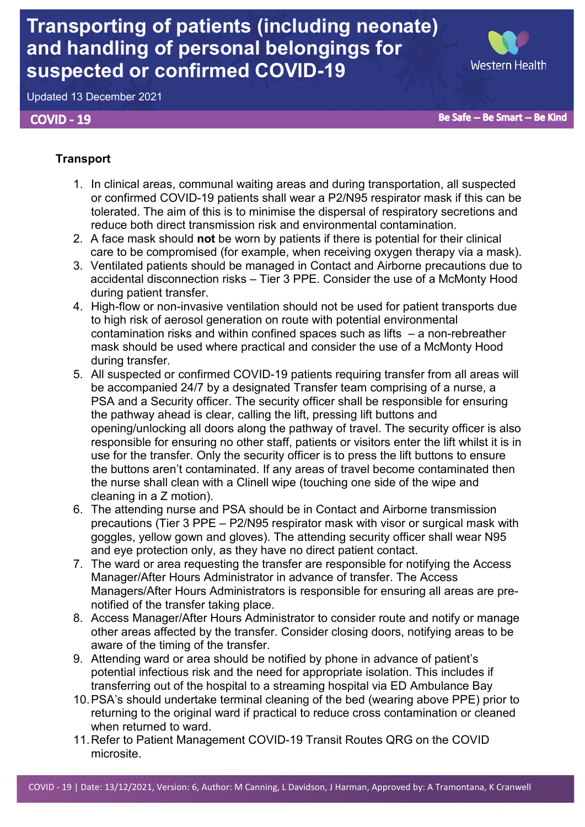# **Transporting of patients (including neonate) and handling of personal belongings for suspected or confirmed COVID-19**

Western Health

Updated 13 December 2021

# **COVID - 19**

Be Safe -- Be Smart -- Be Kind

# **Transport**

- 1. In clinical areas, communal waiting areas and during transportation, all suspected or confirmed COVID-19 patients shall wear a P2/N95 respirator mask if this can be tolerated. The aim of this is to minimise the dispersal of respiratory secretions and reduce both direct transmission risk and environmental contamination.
- 2. A face mask should **not** be worn by patients if there is potential for their clinical care to be compromised (for example, when receiving oxygen therapy via a mask).
- 3. Ventilated patients should be managed in Contact and Airborne precautions due to accidental disconnection risks – Tier 3 PPE. Consider the use of a McMonty Hood during patient transfer.
- 4. High-flow or non-invasive ventilation should not be used for patient transports due to high risk of aerosol generation on route with potential environmental contamination risks and within confined spaces such as lifts – a non-rebreather mask should be used where practical and consider the use of a McMonty Hood during transfer.
- 5. All suspected or confirmed COVID-19 patients requiring transfer from all areas will be accompanied 24/7 by a designated Transfer team comprising of a nurse, a PSA and a Security officer. The security officer shall be responsible for ensuring the pathway ahead is clear, calling the lift, pressing lift buttons and opening/unlocking all doors along the pathway of travel. The security officer is also responsible for ensuring no other staff, patients or visitors enter the lift whilst it is in use for the transfer. Only the security officer is to press the lift buttons to ensure the buttons aren't contaminated. If any areas of travel become contaminated then the nurse shall clean with a Clinell wipe (touching one side of the wipe and cleaning in a Z motion).
- 6. The attending nurse and PSA should be in Contact and Airborne transmission precautions (Tier 3 PPE – P2/N95 respirator mask with visor or surgical mask with goggles, yellow gown and gloves). The attending security officer shall wear N95 and eye protection only, as they have no direct patient contact.
- 7. The ward or area requesting the transfer are responsible for notifying the Access Manager/After Hours Administrator in advance of transfer. The Access Managers/After Hours Administrators is responsible for ensuring all areas are prenotified of the transfer taking place.
- 8. Access Manager/After Hours Administrator to consider route and notify or manage other areas affected by the transfer. Consider closing doors, notifying areas to be aware of the timing of the transfer.
- 9. Attending ward or area should be notified by phone in advance of patient's potential infectious risk and the need for appropriate isolation. This includes if transferring out of the hospital to a streaming hospital via ED Ambulance Bay
- 10.PSA's should undertake terminal cleaning of the bed (wearing above PPE) prior to returning to the original ward if practical to reduce cross contamination or cleaned when returned to ward.
- 11.Refer to Patient Management COVID-19 Transit Routes QRG on the COVID microsite.